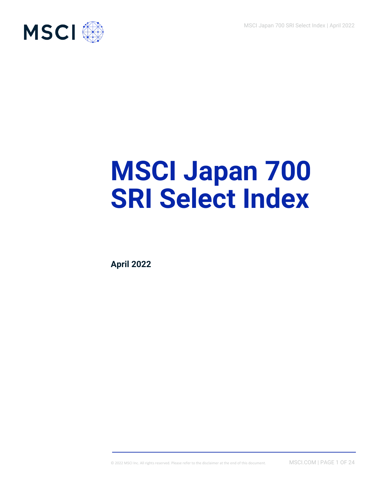

# **MSCI Japan 700 SRI Select Index**

**April 2022**

© 2022 MSCI Inc. All rights reserved. Please refer to the disclaimer at the end of this document. MSCI.COM | PAGE 1 OF 24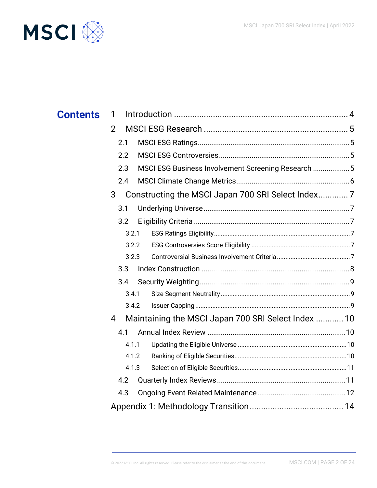

| <b>Contents</b> | 1                                                      |                                                     |  |
|-----------------|--------------------------------------------------------|-----------------------------------------------------|--|
|                 | $\overline{2}$                                         |                                                     |  |
|                 | 2.1                                                    |                                                     |  |
|                 | 2.2                                                    |                                                     |  |
|                 | 2.3                                                    | MSCI ESG Business Involvement Screening Research  5 |  |
|                 | 2.4                                                    |                                                     |  |
|                 | Constructing the MSCI Japan 700 SRI Select Index7<br>3 |                                                     |  |
|                 | 3.1                                                    |                                                     |  |
|                 | 3.2                                                    |                                                     |  |
|                 | 3.2.1                                                  |                                                     |  |
|                 | 3.2.2                                                  |                                                     |  |
|                 | 3.2.3                                                  |                                                     |  |
|                 | 3.3                                                    |                                                     |  |
|                 | 3.4                                                    |                                                     |  |
|                 | 3.4.1                                                  |                                                     |  |
|                 | 3.4.2                                                  |                                                     |  |
|                 | 4                                                      | Maintaining the MSCI Japan 700 SRI Select Index  10 |  |
|                 | 4.1                                                    |                                                     |  |
|                 | 4.1.1                                                  |                                                     |  |
|                 | 4.1.2                                                  |                                                     |  |
|                 | 4.1.3                                                  |                                                     |  |
|                 | 4.2                                                    |                                                     |  |
|                 | 4.3                                                    |                                                     |  |
|                 |                                                        |                                                     |  |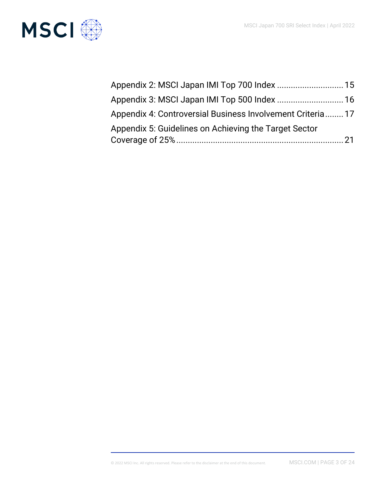

| Appendix 2: MSCI Japan IMI Top 700 Index  15               |
|------------------------------------------------------------|
| Appendix 3: MSCI Japan IMI Top 500 Index  16               |
| Appendix 4: Controversial Business Involvement Criteria 17 |
| Appendix 5: Guidelines on Achieving the Target Sector      |
|                                                            |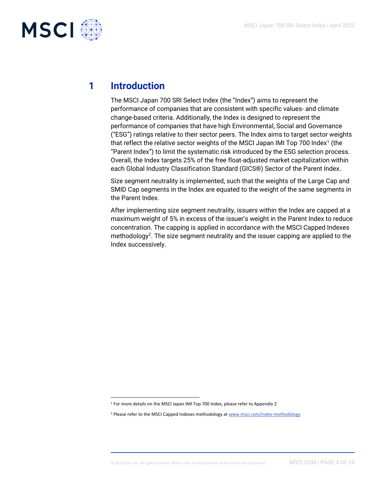

# **1 Introduction**

The MSCI Japan 700 SRI Select Index (the "Index") aims to represent the performance of companies that are consistent with specific values- and climate change-based criteria. Additionally, the Index is designed to represent the performance of companies that have high Environmental, Social and Governance ("ESG") ratings relative to their sector peers. The Index aims to target sector weights that reflect the relative sector weights of the MSCI Japan IMI Top 700 Index<sup>1</sup> (the "Parent Index") to limit the systematic risk introduced by the ESG selection process. Overall, the Index targets 25% of the free float-adjusted market capitalization within each Global Industry Classification Standard (GICS®) Sector of the Parent Index.

Size segment neutrality is implemented, such that the weights of the Large Cap and SMID Cap segments in the Index are equated to the weight of the same segments in the Parent Index.

After implementing size segment neutrality, issuers within the Index are capped at a maximum weight of 5% in excess of the issuer's weight in the Parent Index to reduce concentration. The capping is applied in accordance with the MSCI Capped Indexes methodology<sup>2</sup> . The size segment neutrality and the issuer capping are applied to the Index successively.

<sup>&</sup>lt;sup>1</sup> For more details on the MSCI Japan IMI Top 700 Index, please refer to Appendix 2

<sup>&</sup>lt;sup>2</sup> Please refer to the MSCI Capped Indexes methodology at [www.msci.com/index-methodology](http://www.msci.com/index-methodology)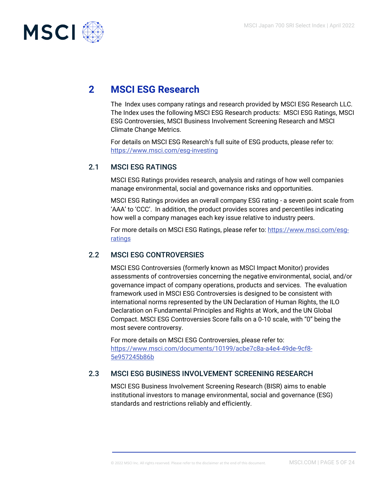

# **2 MSCI ESG Research**

The Index uses company ratings and research provided by MSCI ESG Research LLC. The Index uses the following MSCI ESG Research products: MSCI ESG Ratings, MSCI ESG Controversies, MSCI Business Involvement Screening Research and MSCI Climate Change Metrics.

For details on MSCI ESG Research's full suite of ESG products, please refer to: https://www.msci.com/esg-investing

# 2.1 MSCI ESG RATINGS

MSCI ESG Ratings provides research, analysis and ratings of how well companies manage environmental, social and governance risks and opportunities.

MSCI ESG Ratings provides an overall company ESG rating - a seven point scale from 'AAA' to 'CCC'. In addition, the product provides scores and percentiles indicating how well a company manages each key issue relative to industry peers.

For more details on MSCI ESG Ratings, please refer to: [https://www.msci.com/esg](https://www.msci.com/esg-ratings)[ratings](https://www.msci.com/esg-ratings)

# 2.2 MSCI ESG CONTROVERSIES

MSCI ESG Controversies (formerly known as MSCI Impact Monitor) provides assessments of controversies concerning the negative environmental, social, and/or governance impact of company operations, products and services. The evaluation framework used in MSCI ESG Controversies is designed to be consistent with international norms represented by the UN Declaration of Human Rights, the ILO Declaration on Fundamental Principles and Rights at Work, and the UN Global Compact. MSCI ESG Controversies Score falls on a 0-10 scale, with "0" being the most severe controversy.

For more details on MSCI ESG Controversies, please refer to: [https://www.msci.com/documents/10199/acbe7c8a-a4e4-49de-9cf8-](https://www.msci.com/documents/10199/acbe7c8a-a4e4-49de-9cf8-5e957245b86b) [5e957245b86b](https://www.msci.com/documents/10199/acbe7c8a-a4e4-49de-9cf8-5e957245b86b)

# 2.3 MSCI ESG BUSINESS INVOLVEMENT SCREENING RESEARCH

MSCI ESG Business Involvement Screening Research (BISR) aims to enable institutional investors to manage environmental, social and governance (ESG) standards and restrictions reliably and efficiently.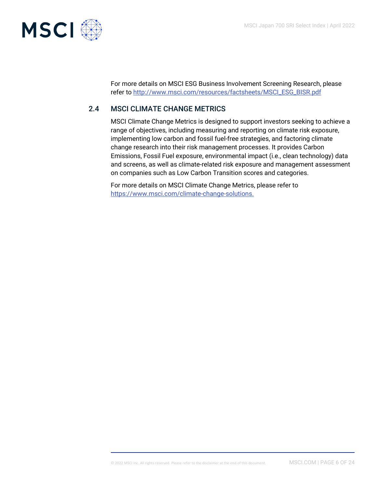

For more details on MSCI ESG Business Involvement Screening Research, please refer to [http://www.msci.com/resources/factsheets/MSCI\\_ESG\\_BISR.pdf](http://www.msci.com/resources/factsheets/MSCI_ESG_BISR.pdf)

# 2.4 MSCI CLIMATE CHANGE METRICS

MSCI Climate Change Metrics is designed to support investors seeking to achieve a range of objectives, including measuring and reporting on climate risk exposure, implementing low carbon and fossil fuel-free strategies, and factoring climate change research into their risk management processes. It provides Carbon Emissions, Fossil Fuel exposure, environmental impact (i.e., clean technology) data and screens, as well as climate-related risk exposure and management assessment on companies such as Low Carbon Transition scores and categories.

For more details on MSCI Climate Change Metrics, please refer to https://www.msci.com/climate-change-solutions.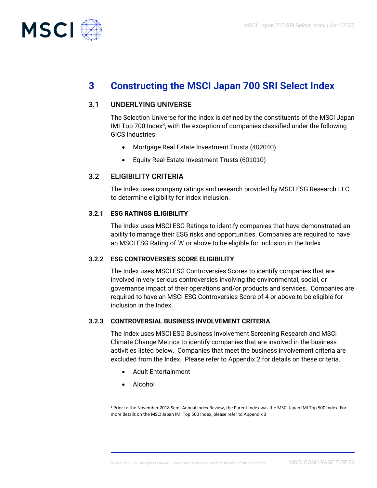

# **3 Constructing the MSCI Japan 700 SRI Select Index**

## 3.1 UNDERLYING UNIVERSE

The Selection Universe for the Index is defined by the constituents of the MSCI Japan IMI Top 700 Index $3$ , with the exception of companies classified under the following GICS Industries:

- Mortgage Real Estate Investment Trusts (402040)
- Equity Real Estate Investment Trusts (601010)

# 3.2 ELIGIBILITY CRITERIA

The Index uses company ratings and research provided by MSCI ESG Research LLC to determine eligibility for index inclusion.

#### **3.2.1 ESG RATINGS ELIGIBILITY**

The Index uses MSCI ESG Ratings to identify companies that have demonstrated an ability to manage their ESG risks and opportunities. Companies are required to have an MSCI ESG Rating of 'A' or above to be eligible for inclusion in the Index.

#### **3.2.2 ESG CONTROVERSIES SCORE ELIGIBILITY**

The Index uses MSCI ESG Controversies Scores to identify companies that are involved in very serious controversies involving the environmental, social, or governance impact of their operations and/or products and services. Companies are required to have an MSCI ESG Controversies Score of 4 or above to be eligible for inclusion in the Index.

#### **3.2.3 CONTROVERSIAL BUSINESS INVOLVEMENT CRITERIA**

The Index uses MSCI ESG Business Involvement Screening Research and MSCI Climate Change Metrics to identify companies that are involved in the business activities listed below. Companies that meet the business involvement criteria are excluded from the Index. Please refer to Appendix 2 for details on these criteria.

- Adult Entertainment
- Alcohol

<sup>3</sup> Prior to the November 2018 Semi-Annual Index Review, the Parent Index was the MSCI Japan IMI Top 500 Index. For more details on the MSCI Japan IMI Top 500 Index, please refer to Appendix 3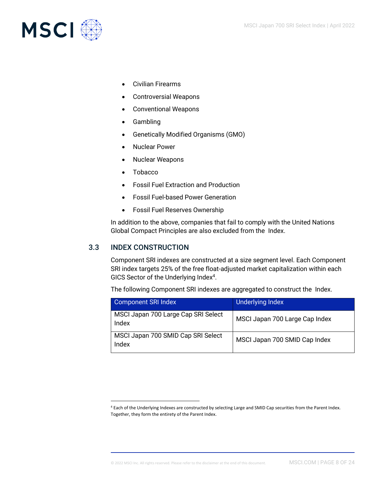

- Civilian Firearms
- Controversial Weapons
- Conventional Weapons
- Gambling
- Genetically Modified Organisms (GMO)
- Nuclear Power
- Nuclear Weapons
- Tobacco
- Fossil Fuel Extraction and Production
- Fossil Fuel-based Power Generation
- Fossil Fuel Reserves Ownership

In addition to the above, companies that fail to comply with the United Nations Global Compact Principles are also excluded from the Index.

# 3.3 INDEX CONSTRUCTION

Component SRI indexes are constructed at a size segment level. Each Component SRI index targets 25% of the free float-adjusted market capitalization within each GICS Sector of the Underlying Index<sup>4</sup>.

The following Component SRI indexes are aggregated to construct the Index.

| <b>Component SRI Index</b>                   | Underlying Index               |
|----------------------------------------------|--------------------------------|
| MSCI Japan 700 Large Cap SRI Select<br>Index | MSCI Japan 700 Large Cap Index |
| MSCI Japan 700 SMID Cap SRI Select<br>Index  | MSCI Japan 700 SMID Cap Index  |

<sup>4</sup> Each of the Underlying Indexes are constructed by selecting Large and SMID Cap securities from the Parent Index. Together, they form the entirety of the Parent Index.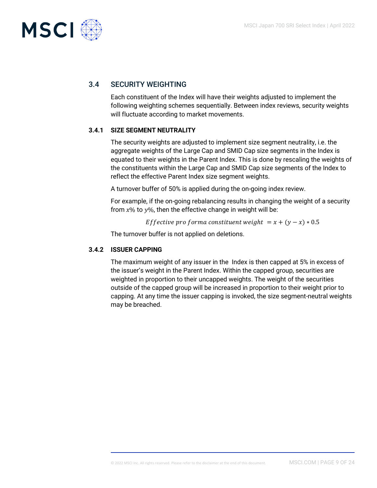

# 3.4 SECURITY WEIGHTING

Each constituent of the Index will have their weights adjusted to implement the following weighting schemes sequentially. Between index reviews, security weights will fluctuate according to market movements.

## **3.4.1 SIZE SEGMENT NEUTRALITY**

The security weights are adjusted to implement size segment neutrality, i.e. the aggregate weights of the Large Cap and SMID Cap size segments in the Index is equated to their weights in the Parent Index. This is done by rescaling the weights of the constituents within the Large Cap and SMID Cap size segments of the Index to reflect the effective Parent Index size segment weights.

A turnover buffer of 50% is applied during the on-going index review.

For example, if the on-going rebalancing results in changing the weight of a security from  $x\%$  to  $y\%$ , then the effective change in weight will be:

*Effective pro forma constituent weight* =  $x + (y - x) * 0.5$ 

The turnover buffer is not applied on deletions.

#### **3.4.2 ISSUER CAPPING**

The maximum weight of any issuer in the Index is then capped at 5% in excess of the issuer's weight in the Parent Index. Within the capped group, securities are weighted in proportion to their uncapped weights. The weight of the securities outside of the capped group will be increased in proportion to their weight prior to capping. At any time the issuer capping is invoked, the size segment-neutral weights may be breached.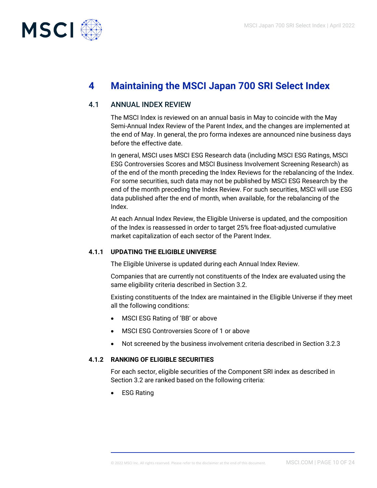

# **4 Maintaining the MSCI Japan 700 SRI Select Index**

# 4.1 ANNUAL INDEX REVIEW

The MSCI Index is reviewed on an annual basis in May to coincide with the May Semi-Annual Index Review of the Parent Index, and the changes are implemented at the end of May. In general, the pro forma indexes are announced nine business days before the effective date.

In general, MSCI uses MSCI ESG Research data (including MSCI ESG Ratings, MSCI ESG Controversies Scores and MSCI Business Involvement Screening Research) as of the end of the month preceding the Index Reviews for the rebalancing of the Index. For some securities, such data may not be published by MSCI ESG Research by the end of the month preceding the Index Review. For such securities, MSCI will use ESG data published after the end of month, when available, for the rebalancing of the Index.

At each Annual Index Review, the Eligible Universe is updated, and the composition of the Index is reassessed in order to target 25% free float-adjusted cumulative market capitalization of each sector of the Parent Index.

#### **4.1.1 UPDATING THE ELIGIBLE UNIVERSE**

The Eligible Universe is updated during each Annual Index Review.

Companies that are currently not constituents of the Index are evaluated using the same eligibility criteria described in Section 3.2.

Existing constituents of the Index are maintained in the Eligible Universe if they meet all the following conditions:

- MSCI ESG Rating of 'BB' or above
- MSCI ESG Controversies Score of 1 or above
- Not screened by the business involvement criteria described in Section 3.2.3

#### **4.1.2 RANKING OF ELIGIBLE SECURITIES**

For each sector, eligible securities of the Component SRI index as described in Section 3.2 are ranked based on the following criteria:

• ESG Rating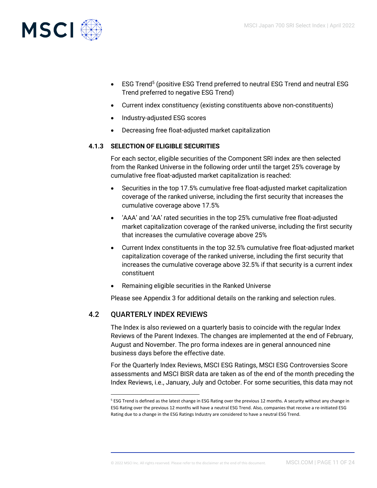

- ESG Trend<sup>5</sup> (positive ESG Trend preferred to neutral ESG Trend and neutral ESG Trend preferred to negative ESG Trend)
- Current index constituency (existing constituents above non-constituents)
- Industry-adjusted ESG scores
- Decreasing free float-adjusted market capitalization

## **4.1.3 SELECTION OF ELIGIBLE SECURITIES**

For each sector, eligible securities of the Component SRI index are then selected from the Ranked Universe in the following order until the target 25% coverage by cumulative free float-adjusted market capitalization is reached:

- Securities in the top 17.5% cumulative free float-adjusted market capitalization coverage of the ranked universe, including the first security that increases the cumulative coverage above 17.5%
- 'AAA' and 'AA' rated securities in the top 25% cumulative free float-adjusted market capitalization coverage of the ranked universe, including the first security that increases the cumulative coverage above 25%
- Current Index constituents in the top 32.5% cumulative free float-adjusted market capitalization coverage of the ranked universe, including the first security that increases the cumulative coverage above 32.5% if that security is a current index constituent
- Remaining eligible securities in the Ranked Universe

Please see Appendix 3 for additional details on the ranking and selection rules.

# 4.2 QUARTERLY INDEX REVIEWS

The Index is also reviewed on a quarterly basis to coincide with the regular Index Reviews of the Parent Indexes. The changes are implemented at the end of February, August and November. The pro forma indexes are in general announced nine business days before the effective date.

For the Quarterly Index Reviews, MSCI ESG Ratings, MSCI ESG Controversies Score assessments and MSCI BISR data are taken as of the end of the month preceding the Index Reviews, i.e., January, July and October. For some securities, this data may not

<sup>5</sup> ESG Trend is defined as the latest change in ESG Rating over the previous 12 months. A security without any change in ESG Rating over the previous 12 months will have a neutral ESG Trend. Also, companies that receive a re-initiated ESG Rating due to a change in the ESG Ratings Industry are considered to have a neutral ESG Trend.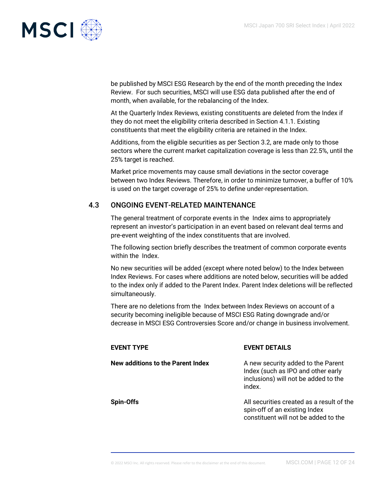

be published by MSCI ESG Research by the end of the month preceding the Index Review. For such securities, MSCI will use ESG data published after the end of month, when available, for the rebalancing of the Index.

At the Quarterly Index Reviews, existing constituents are deleted from the Index if they do not meet the eligibility criteria described in Section 4.1.1. Existing constituents that meet the eligibility criteria are retained in the Index.

Additions, from the eligible securities as per Section 3.2, are made only to those sectors where the current market capitalization coverage is less than 22.5%, until the 25% target is reached.

Market price movements may cause small deviations in the sector coverage between two Index Reviews. Therefore, in order to minimize turnover, a buffer of 10% is used on the target coverage of 25% to define under-representation.

# 4.3 ONGOING EVENT-RELATED MAINTENANCE

The general treatment of corporate events in the Index aims to appropriately represent an investor's participation in an event based on relevant deal terms and pre-event weighting of the index constituents that are involved.

The following section briefly describes the treatment of common corporate events within the Index.

No new securities will be added (except where noted below) to the Index between Index Reviews. For cases where additions are noted below, securities will be added to the index only if added to the Parent Index. Parent Index deletions will be reflected simultaneously.

There are no deletions from the Index between Index Reviews on account of a security becoming ineligible because of MSCI ESG Rating downgrade and/or decrease in MSCI ESG Controversies Score and/or change in business involvement.

| EVENT TYPE                        | <b>EVENT DETAILS</b>                                                                                                       |
|-----------------------------------|----------------------------------------------------------------------------------------------------------------------------|
| New additions to the Parent Index | A new security added to the Parent<br>Index (such as IPO and other early<br>inclusions) will not be added to the<br>index. |
| Spin-Offs                         | All securities created as a result of the<br>spin-off of an existing Index<br>constituent will not be added to the         |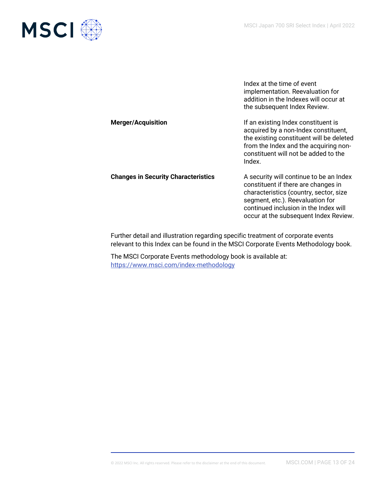

Index at the time of event implementation. Reevaluation for addition in the Indexes will occur at the subsequent Index Review. **Merger/Acquisition If an existing Index constituent is** acquired by a non-Index constituent, the existing constituent will be deleted from the Index and the acquiring nonconstituent will not be added to the Index. **Changes in Security Characteristics** A security will continue to be an Index constituent if there are changes in characteristics (country, sector, size segment, etc.). Reevaluation for continued inclusion in the Index will occur at the subsequent Index Review.

Further detail and illustration regarding specific treatment of corporate events relevant to this Index can be found in the MSCI Corporate Events Methodology book.

The MSCI Corporate Events methodology book is available at: <https://www.msci.com/index-methodology>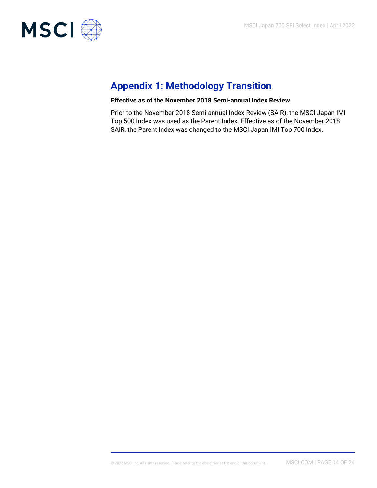

# **Appendix 1: Methodology Transition**

#### **Effective as of the November 2018 Semi-annual Index Review**

Prior to the November 2018 Semi-annual Index Review (SAIR), the MSCI Japan IMI Top 500 Index was used as the Parent Index. Effective as of the November 2018 SAIR, the Parent Index was changed to the MSCI Japan IMI Top 700 Index.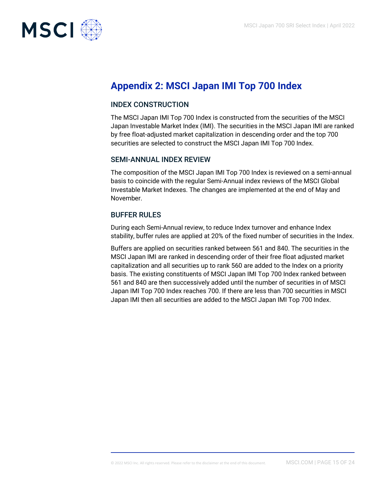

# **Appendix 2: MSCI Japan IMI Top 700 Index**

## INDEX CONSTRUCTION

The MSCI Japan IMI Top 700 Index is constructed from the securities of the MSCI Japan Investable Market Index (IMI). The securities in the MSCI Japan IMI are ranked by free float-adjusted market capitalization in descending order and the top 700 securities are selected to construct the MSCI Japan IMI Top 700 Index.

## SEMI-ANNUAL INDEX REVIEW

The composition of the MSCI Japan IMI Top 700 Index is reviewed on a semi-annual basis to coincide with the regular Semi-Annual index reviews of the MSCI Global Investable Market Indexes. The changes are implemented at the end of May and November.

## BUFFER RULES

During each Semi-Annual review, to reduce Index turnover and enhance Index stability, buffer rules are applied at 20% of the fixed number of securities in the Index.

Buffers are applied on securities ranked between 561 and 840. The securities in the MSCI Japan IMI are ranked in descending order of their free float adjusted market capitalization and all securities up to rank 560 are added to the Index on a priority basis. The existing constituents of MSCI Japan IMI Top 700 Index ranked between 561 and 840 are then successively added until the number of securities in of MSCI Japan IMI Top 700 Index reaches 700. If there are less than 700 securities in MSCI Japan IMI then all securities are added to the MSCI Japan IMI Top 700 Index.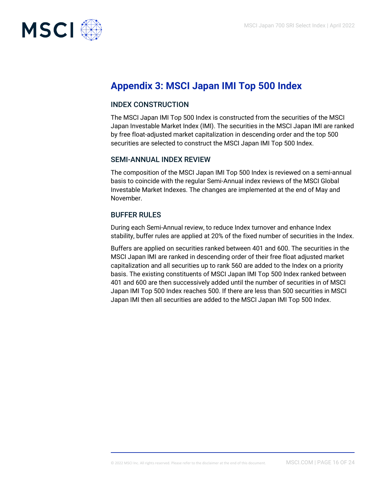

# **Appendix 3: MSCI Japan IMI Top 500 Index**

## INDEX CONSTRUCTION

The MSCI Japan IMI Top 500 Index is constructed from the securities of the MSCI Japan Investable Market Index (IMI). The securities in the MSCI Japan IMI are ranked by free float-adjusted market capitalization in descending order and the top 500 securities are selected to construct the MSCI Japan IMI Top 500 Index.

## SEMI-ANNUAL INDEX REVIEW

The composition of the MSCI Japan IMI Top 500 Index is reviewed on a semi-annual basis to coincide with the regular Semi-Annual index reviews of the MSCI Global Investable Market Indexes. The changes are implemented at the end of May and November.

## BUFFER RULES

During each Semi-Annual review, to reduce Index turnover and enhance Index stability, buffer rules are applied at 20% of the fixed number of securities in the Index.

Buffers are applied on securities ranked between 401 and 600. The securities in the MSCI Japan IMI are ranked in descending order of their free float adjusted market capitalization and all securities up to rank 560 are added to the Index on a priority basis. The existing constituents of MSCI Japan IMI Top 500 Index ranked between 401 and 600 are then successively added until the number of securities in of MSCI Japan IMI Top 500 Index reaches 500. If there are less than 500 securities in MSCI Japan IMI then all securities are added to the MSCI Japan IMI Top 500 Index.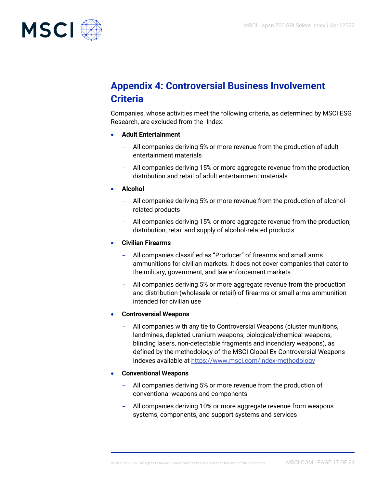

# **Appendix 4: Controversial Business Involvement Criteria**

Companies, whose activities meet the following criteria, as determined by MSCI ESG Research, are excluded from the Index:

- **Adult Entertainment**
	- All companies deriving 5% or more revenue from the production of adult entertainment materials
	- All companies deriving 15% or more aggregate revenue from the production, distribution and retail of adult entertainment materials
- **Alcohol**
	- All companies deriving 5% or more revenue from the production of alcoholrelated products
	- All companies deriving 15% or more aggregate revenue from the production, distribution, retail and supply of alcohol-related products
- **Civilian Firearms**
	- All companies classified as "Producer" of firearms and small arms ammunitions for civilian markets. It does not cover companies that cater to the military, government, and law enforcement markets
	- All companies deriving 5% or more aggregate revenue from the production and distribution (wholesale or retail) of firearms or small arms ammunition intended for civilian use
- **Controversial Weapons**
	- All companies with any tie to Controversial Weapons (cluster munitions, landmines, depleted uranium weapons, biological/chemical weapons, blinding lasers, non-detectable fragments and incendiary weapons), as defined by the methodology of the MSCI Global Ex-Controversial Weapons Indexes available a[t https://www.msci.com/index-methodology](https://www.msci.com/index-methodology)
- **Conventional Weapons**
	- All companies deriving 5% or more revenue from the production of conventional weapons and components
	- All companies deriving 10% or more aggregate revenue from weapons systems, components, and support systems and services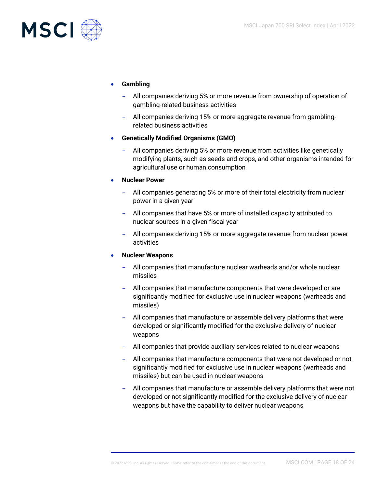

#### • **Gambling**

- All companies deriving 5% or more revenue from ownership of operation of gambling-related business activities
- All companies deriving 15% or more aggregate revenue from gamblingrelated business activities
- **Genetically Modified Organisms (GMO)**
	- All companies deriving 5% or more revenue from activities like genetically modifying plants, such as seeds and crops, and other organisms intended for agricultural use or human consumption
- **Nuclear Power**
	- All companies generating 5% or more of their total electricity from nuclear power in a given year
	- All companies that have 5% or more of installed capacity attributed to nuclear sources in a given fiscal year
	- All companies deriving 15% or more aggregate revenue from nuclear power activities

#### • **Nuclear Weapons**

- All companies that manufacture nuclear warheads and/or whole nuclear missiles
- All companies that manufacture components that were developed or are significantly modified for exclusive use in nuclear weapons (warheads and missiles)
- All companies that manufacture or assemble delivery platforms that were developed or significantly modified for the exclusive delivery of nuclear weapons
- All companies that provide auxiliary services related to nuclear weapons
- All companies that manufacture components that were not developed or not significantly modified for exclusive use in nuclear weapons (warheads and missiles) but can be used in nuclear weapons
- All companies that manufacture or assemble delivery platforms that were not developed or not significantly modified for the exclusive delivery of nuclear weapons but have the capability to deliver nuclear weapons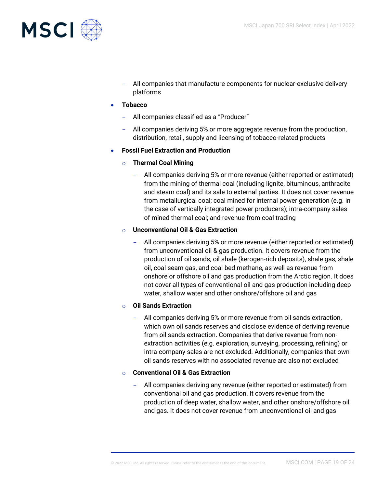

- All companies that manufacture components for nuclear-exclusive delivery platforms
- **Tobacco**
	- All companies classified as a "Producer"
	- All companies deriving 5% or more aggregate revenue from the production, distribution, retail, supply and licensing of tobacco-related products
- **Fossil Fuel Extraction and Production**
	- o **Thermal Coal Mining**
		- All companies deriving 5% or more revenue (either reported or estimated) from the mining of thermal coal (including lignite, bituminous, anthracite and steam coal) and its sale to external parties. It does not cover revenue from metallurgical coal; coal mined for internal power generation (e.g. in the case of vertically integrated power producers); intra-company sales of mined thermal coal; and revenue from coal trading

#### o **Unconventional Oil & Gas Extraction**

All companies deriving 5% or more revenue (either reported or estimated) from unconventional oil & gas production. It covers revenue from the production of oil sands, oil shale (kerogen-rich deposits), shale gas, shale oil, coal seam gas, and coal bed methane, as well as revenue from onshore or offshore oil and gas production from the Arctic region. It does not cover all types of conventional oil and gas production including deep water, shallow water and other onshore/offshore oil and gas

## o **Oil Sands Extraction**

- All companies deriving 5% or more revenue from oil sands extraction, which own oil sands reserves and disclose evidence of deriving revenue from oil sands extraction. Companies that derive revenue from nonextraction activities (e.g. exploration, surveying, processing, refining) or intra-company sales are not excluded. Additionally, companies that own oil sands reserves with no associated revenue are also not excluded
- o **Conventional Oil & Gas Extraction**
	- All companies deriving any revenue (either reported or estimated) from conventional oil and gas production. It covers revenue from the production of deep water, shallow water, and other onshore/offshore oil and gas. It does not cover revenue from unconventional oil and gas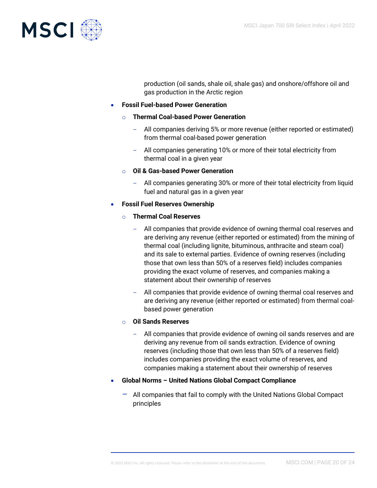

production (oil sands, shale oil, shale gas) and onshore/offshore oil and gas production in the Arctic region

#### • **Fossil Fuel-based Power Generation**

#### o **Thermal Coal-based Power Generation**

- All companies deriving 5% or more revenue (either reported or estimated) from thermal coal-based power generation
- All companies generating 10% or more of their total electricity from thermal coal in a given year

#### o **Oil & Gas-based Power Generation**

- All companies generating 30% or more of their total electricity from liquid fuel and natural gas in a given year

#### • **Fossil Fuel Reserves Ownership**

#### o **Thermal Coal Reserves**

- All companies that provide evidence of owning thermal coal reserves and are deriving any revenue (either reported or estimated) from the mining of thermal coal (including lignite, bituminous, anthracite and steam coal) and its sale to external parties. Evidence of owning reserves (including those that own less than 50% of a reserves field) includes companies providing the exact volume of reserves, and companies making a statement about their ownership of reserves
- All companies that provide evidence of owning thermal coal reserves and are deriving any revenue (either reported or estimated) from thermal coalbased power generation

#### o **Oil Sands Reserves**

- All companies that provide evidence of owning oil sands reserves and are deriving any revenue from oil sands extraction. Evidence of owning reserves (including those that own less than 50% of a reserves field) includes companies providing the exact volume of reserves, and companies making a statement about their ownership of reserves
- **Global Norms – United Nations Global Compact Compliance**
	- All companies that fail to comply with the United Nations Global Compact principles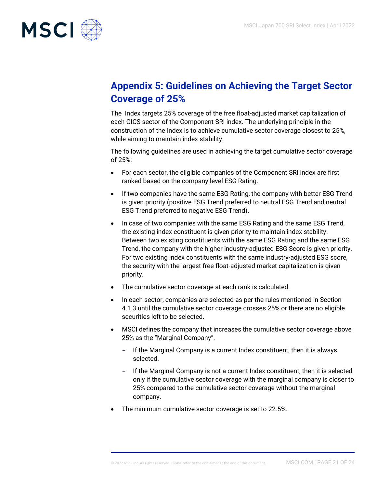

# **Appendix 5: Guidelines on Achieving the Target Sector Coverage of 25%**

The Index targets 25% coverage of the free float-adjusted market capitalization of each GICS sector of the Component SRI index. The underlying principle in the construction of the Index is to achieve cumulative sector coverage closest to 25%, while aiming to maintain index stability.

The following guidelines are used in achieving the target cumulative sector coverage of 25%:

- For each sector, the eligible companies of the Component SRI index are first ranked based on the company level ESG Rating.
- If two companies have the same ESG Rating, the company with better ESG Trend is given priority (positive ESG Trend preferred to neutral ESG Trend and neutral ESG Trend preferred to negative ESG Trend).
- In case of two companies with the same ESG Rating and the same ESG Trend, the existing index constituent is given priority to maintain index stability. Between two existing constituents with the same ESG Rating and the same ESG Trend, the company with the higher industry-adjusted ESG Score is given priority. For two existing index constituents with the same industry-adjusted ESG score, the security with the largest free float-adjusted market capitalization is given priority.
- The cumulative sector coverage at each rank is calculated.
- In each sector, companies are selected as per the rules mentioned in Section 4.1.3 until the cumulative sector coverage crosses 25% or there are no eligible securities left to be selected.
- MSCI defines the company that increases the cumulative sector coverage above 25% as the "Marginal Company".
	- If the Marginal Company is a current Index constituent, then it is always selected.
	- If the Marginal Company is not a current Index constituent, then it is selected only if the cumulative sector coverage with the marginal company is closer to 25% compared to the cumulative sector coverage without the marginal company.
- The minimum cumulative sector coverage is set to 22.5%.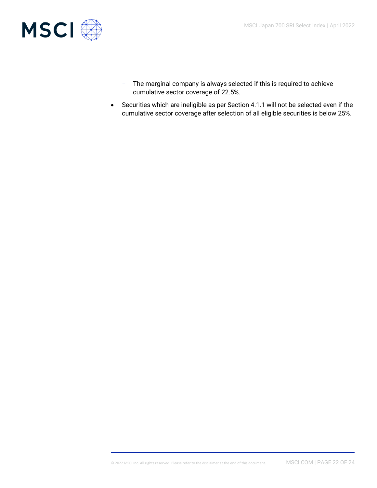

- The marginal company is always selected if this is required to achieve cumulative sector coverage of 22.5%.
- Securities which are ineligible as per Section 4.1.1 will not be selected even if the cumulative sector coverage after selection of all eligible securities is below 25%.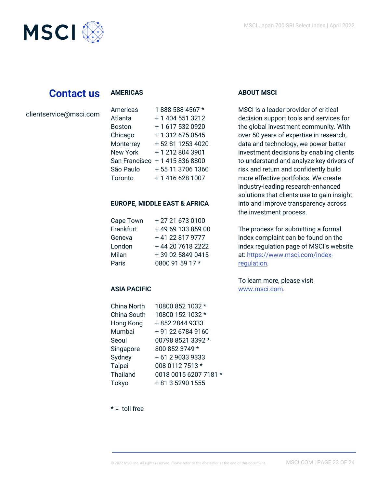

# **Contact us**

#### **AMERICAS**

clientservice@msci.com

| Americas        | 1888 588 4567 *  |
|-----------------|------------------|
| Atlanta         | + 1 404 551 3212 |
| <b>Boston</b>   | +1 617 532 0920  |
| Chicago         | + 1 312 675 0545 |
| Monterrey       | +52 81 1253 4020 |
| <b>New York</b> | +12128043901     |
| San Francisco   | +14158368800     |
| São Paulo       | +55 11 3706 1360 |
| Toronto         | +1 416 628 1007  |

#### **EUROPE, MIDDLE EAST & AFRICA**

| Cape Town | +27 21 673 0100   |
|-----------|-------------------|
| Frankfurt | +49 69 133 859 00 |
| Geneva    | +41 22 817 9777   |
| London    | +44 20 7618 2222  |
| Milan     | +39 02 5849 0415  |
| Paris     | 0800 91 59 17 *   |

## **ASIA PACIFIC**

| China North | 10800 852 1032 *      |
|-------------|-----------------------|
| China South | 10800 152 1032 *      |
| Hong Kong   | +852 2844 9333        |
| Mumbai      | +91 22 6784 9160      |
| Seoul       | 00798 8521 3392 *     |
| Singapore   | 800 852 3749 *        |
| Sydney      | +61290339333          |
| Taipei      | 008 0112 7513 *       |
| Thailand    | 0018 0015 6207 7181 * |
| Tokyo       | + 81 3 5290 1555      |
|             |                       |

## **ABOUT MSCI**

MSCI is a leader provider of critical decision support tools and services for the global investment community. With over 50 years of expertise in research, data and technology, we power better investment decisions by enabling clients to understand and analyze key drivers of risk and return and confidently build more effective portfolios. We create industry-leading research-enhanced solutions that clients use to gain insight into and improve transparency across the investment process.

The process for submitting a formal index complaint can be found on the index regulation page of MSCI's website at: [https://www.msci.com/index](https://www.msci.com/index-regulation)[regulation.](https://www.msci.com/index-regulation)

To learn more, please visit [www.msci.com.](https://www.msci.com/)

 $* =$  toll free